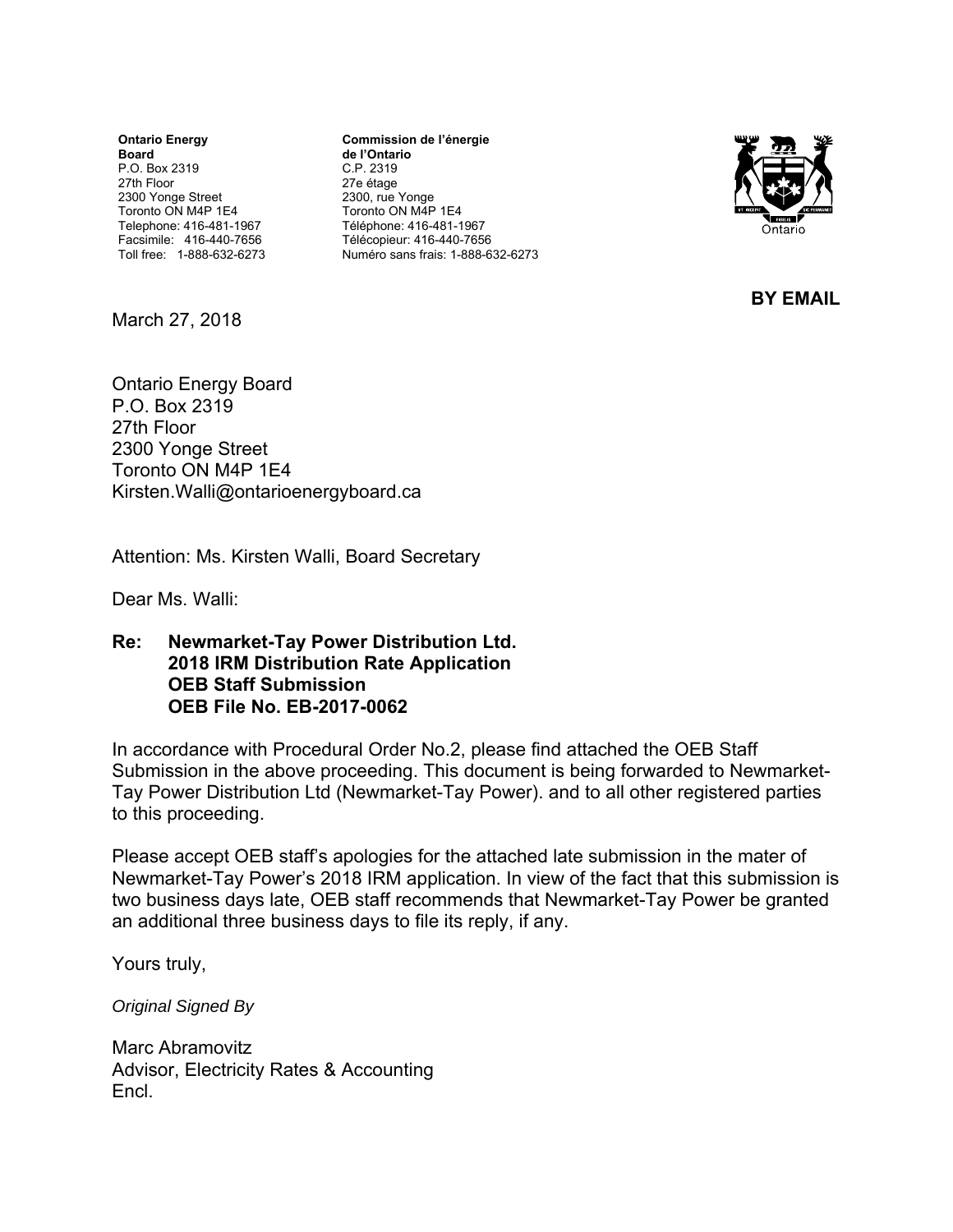**Ontario Energy Board**  P.O. Box 2319 27th Floor 2300 Yonge Street Toronto ON M4P 1E4 Telephone: 416-481-1967 Facsimile: 416-440-7656 Toll free: 1-888-632-6273

**Commission de l'énergie de l'Ontario** C.P. 2319 27e étage 2300, rue Yonge Toronto ON M4P 1E4 Téléphone: 416-481-1967 Télécopieur: 416-440-7656 Numéro sans frais: 1-888-632-6273



**BY EMAIL** 

March 27, 2018

Ontario Energy Board P.O. Box 2319 27th Floor 2300 Yonge Street Toronto ON M4P 1E4 Kirsten.Walli@ontarioenergyboard.ca

Attention: Ms. Kirsten Walli, Board Secretary

Dear Ms. Walli:

**Re: Newmarket-Tay Power Distribution Ltd. 2018 IRM Distribution Rate Application OEB Staff Submission OEB File No. EB-2017-0062** 

In accordance with Procedural Order No.2, please find attached the OEB Staff Submission in the above proceeding. This document is being forwarded to Newmarket-Tay Power Distribution Ltd (Newmarket-Tay Power). and to all other registered parties to this proceeding.

Please accept OEB staff's apologies for the attached late submission in the mater of Newmarket-Tay Power's 2018 IRM application. In view of the fact that this submission is two business days late, OEB staff recommends that Newmarket-Tay Power be granted an additional three business days to file its reply, if any.

Yours truly,

*Original Signed By* 

Marc Abramovitz Advisor, Electricity Rates & Accounting Encl.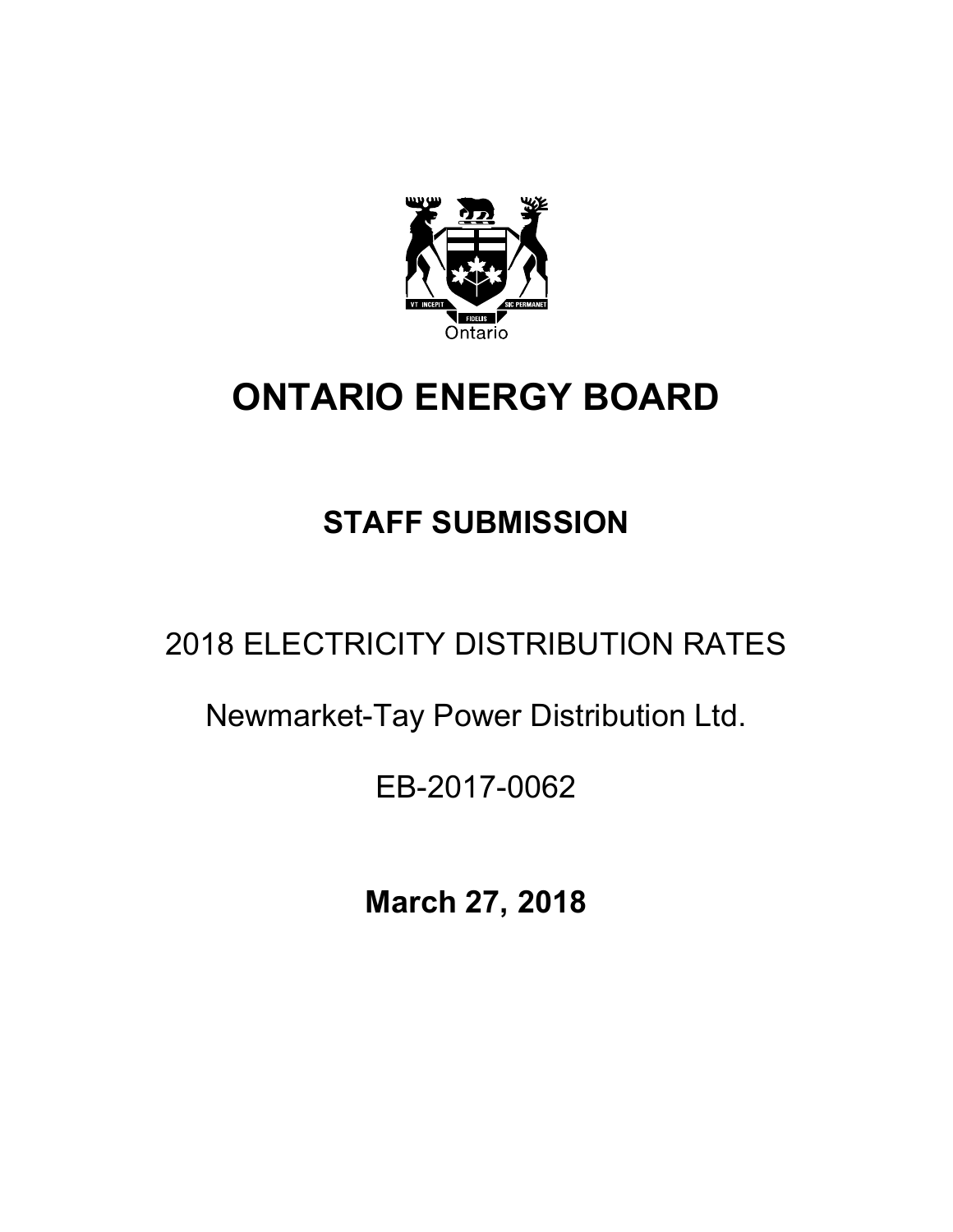

# **ONTARIO ENERGY BOARD**

## **STAFF SUBMISSION**

## 2018 ELECTRICITY DISTRIBUTION RATES

### Newmarket-Tay Power Distribution Ltd.

### EB-2017-0062

**March 27, 2018**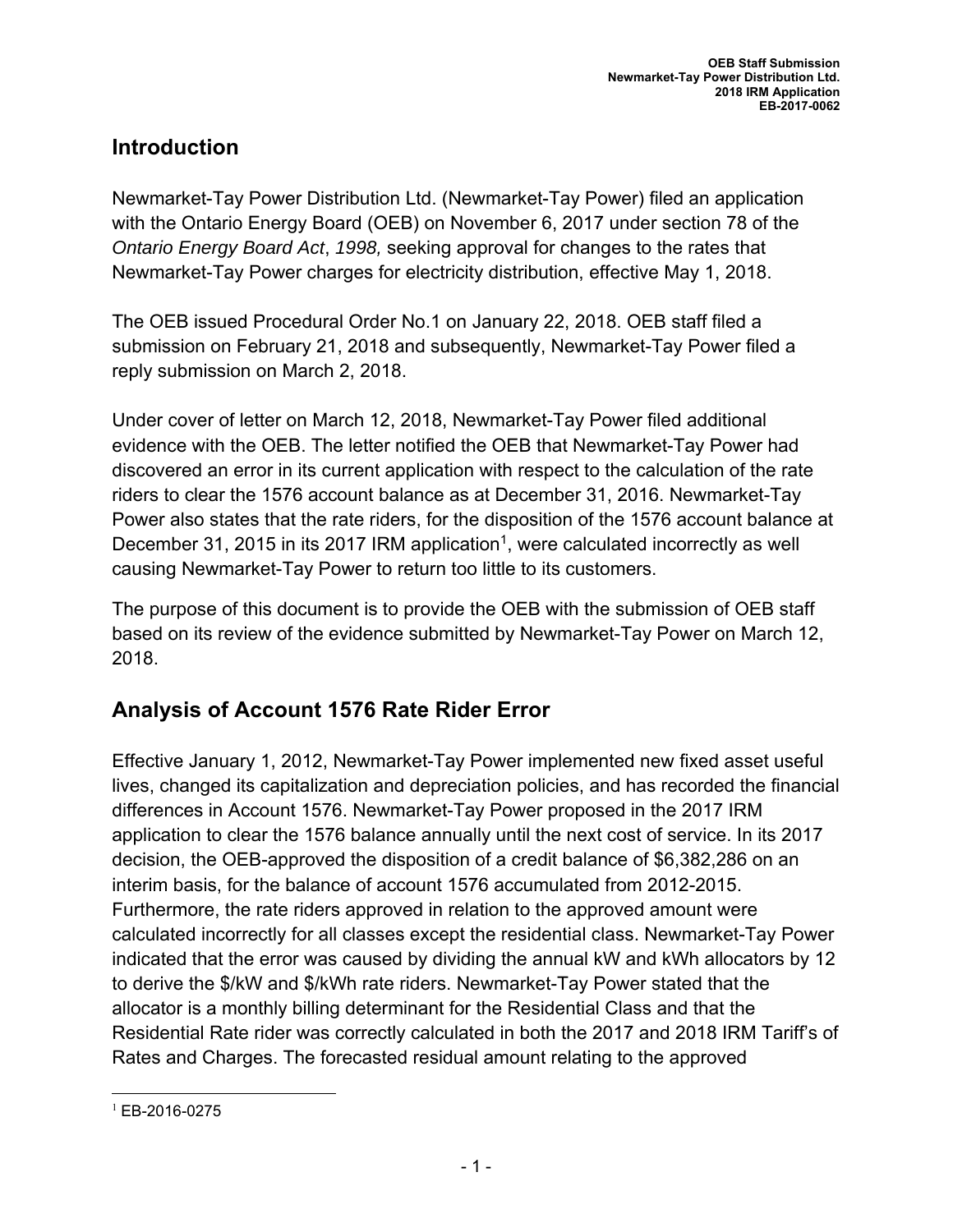#### **Introduction**

Newmarket-Tay Power Distribution Ltd. (Newmarket-Tay Power) filed an application with the Ontario Energy Board (OEB) on November 6, 2017 under section 78 of the *Ontario Energy Board Act*, *1998,* seeking approval for changes to the rates that Newmarket-Tay Power charges for electricity distribution, effective May 1, 2018.

The OEB issued Procedural Order No.1 on January 22, 2018. OEB staff filed a submission on February 21, 2018 and subsequently, Newmarket-Tay Power filed a reply submission on March 2, 2018.

Under cover of letter on March 12, 2018, Newmarket-Tay Power filed additional evidence with the OEB. The letter notified the OEB that Newmarket-Tay Power had discovered an error in its current application with respect to the calculation of the rate riders to clear the 1576 account balance as at December 31, 2016. Newmarket-Tay Power also states that the rate riders, for the disposition of the 1576 account balance at December 31, 2015 in its 2017 IRM application<sup>1</sup>, were calculated incorrectly as well causing Newmarket-Tay Power to return too little to its customers.

The purpose of this document is to provide the OEB with the submission of OEB staff based on its review of the evidence submitted by Newmarket-Tay Power on March 12, 2018.

#### **Analysis of Account 1576 Rate Rider Error**

Effective January 1, 2012, Newmarket-Tay Power implemented new fixed asset useful lives, changed its capitalization and depreciation policies, and has recorded the financial differences in Account 1576. Newmarket-Tay Power proposed in the 2017 IRM application to clear the 1576 balance annually until the next cost of service. In its 2017 decision, the OEB-approved the disposition of a credit balance of \$6,382,286 on an interim basis, for the balance of account 1576 accumulated from 2012-2015. Furthermore, the rate riders approved in relation to the approved amount were calculated incorrectly for all classes except the residential class. Newmarket-Tay Power indicated that the error was caused by dividing the annual kW and kWh allocators by 12 to derive the \$/kW and \$/kWh rate riders. Newmarket-Tay Power stated that the allocator is a monthly billing determinant for the Residential Class and that the Residential Rate rider was correctly calculated in both the 2017 and 2018 IRM Tariff's of Rates and Charges. The forecasted residual amount relating to the approved

 <sup>1</sup> EB-2016-0275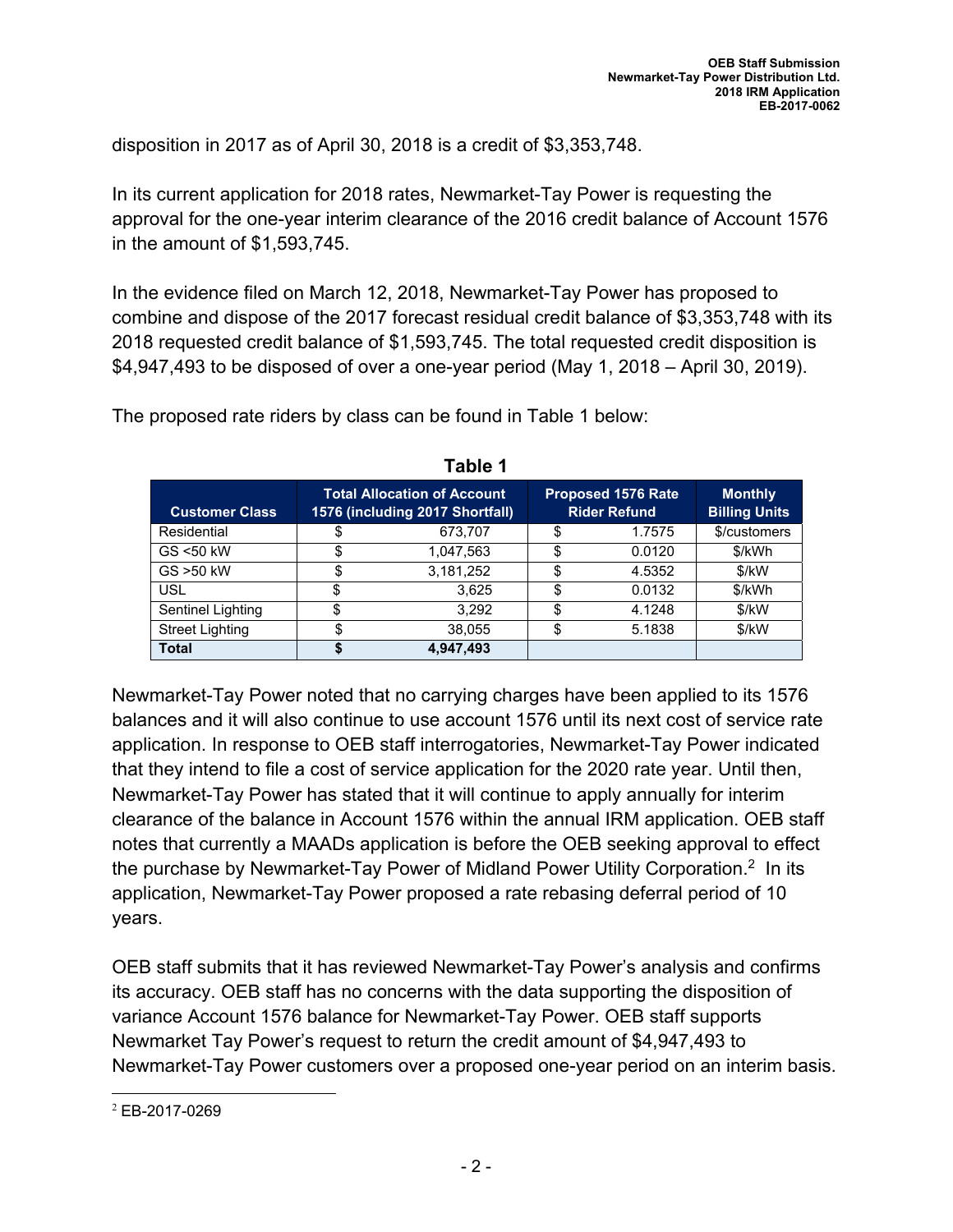disposition in 2017 as of April 30, 2018 is a credit of \$3,353,748.

In its current application for 2018 rates, Newmarket-Tay Power is requesting the approval for the one-year interim clearance of the 2016 credit balance of Account 1576 in the amount of \$1,593,745.

In the evidence filed on March 12, 2018, Newmarket-Tay Power has proposed to combine and dispose of the 2017 forecast residual credit balance of \$3,353,748 with its 2018 requested credit balance of \$1,593,745. The total requested credit disposition is \$4,947,493 to be disposed of over a one-year period (May 1, 2018 – April 30, 2019).

| <b>Customer Class</b>  | <b>Total Allocation of Account</b><br>1576 (including 2017 Shortfall) |           | <b>Proposed 1576 Rate</b><br><b>Rider Refund</b> |        | <b>Monthly</b><br><b>Billing Units</b> |
|------------------------|-----------------------------------------------------------------------|-----------|--------------------------------------------------|--------|----------------------------------------|
| Residential            |                                                                       | 673,707   | S                                                | 1.7575 | \$/customers                           |
| GS <50 kW              | \$.                                                                   | 1,047,563 | \$                                               | 0.0120 | \$/kWh                                 |
| GS > 50 kW             | S                                                                     | 3,181,252 | \$                                               | 4.5352 | \$/kW                                  |
| USL                    |                                                                       | 3,625     | \$                                               | 0.0132 | \$/kWh                                 |
| Sentinel Lighting      |                                                                       | 3.292     |                                                  | 4.1248 | \$/kW                                  |
| <b>Street Lighting</b> | Φ                                                                     | 38,055    | \$                                               | 5.1838 | \$/kW                                  |
| <b>Total</b>           |                                                                       | 4,947,493 |                                                  |        |                                        |

**Table 1** 

The proposed rate riders by class can be found in Table 1 below:

Newmarket-Tay Power noted that no carrying charges have been applied to its 1576 balances and it will also continue to use account 1576 until its next cost of service rate application. In response to OEB staff interrogatories, Newmarket-Tay Power indicated that they intend to file a cost of service application for the 2020 rate year. Until then, Newmarket-Tay Power has stated that it will continue to apply annually for interim clearance of the balance in Account 1576 within the annual IRM application. OEB staff notes that currently a MAADs application is before the OEB seeking approval to effect the purchase by Newmarket-Tay Power of Midland Power Utility Corporation.<sup>2</sup> In its application, Newmarket-Tay Power proposed a rate rebasing deferral period of 10 years.

OEB staff submits that it has reviewed Newmarket-Tay Power's analysis and confirms its accuracy. OEB staff has no concerns with the data supporting the disposition of variance Account 1576 balance for Newmarket-Tay Power. OEB staff supports Newmarket Tay Power's request to return the credit amount of \$4,947,493 to Newmarket-Tay Power customers over a proposed one-year period on an interim basis.

 <sup>2</sup> EB-2017-0269